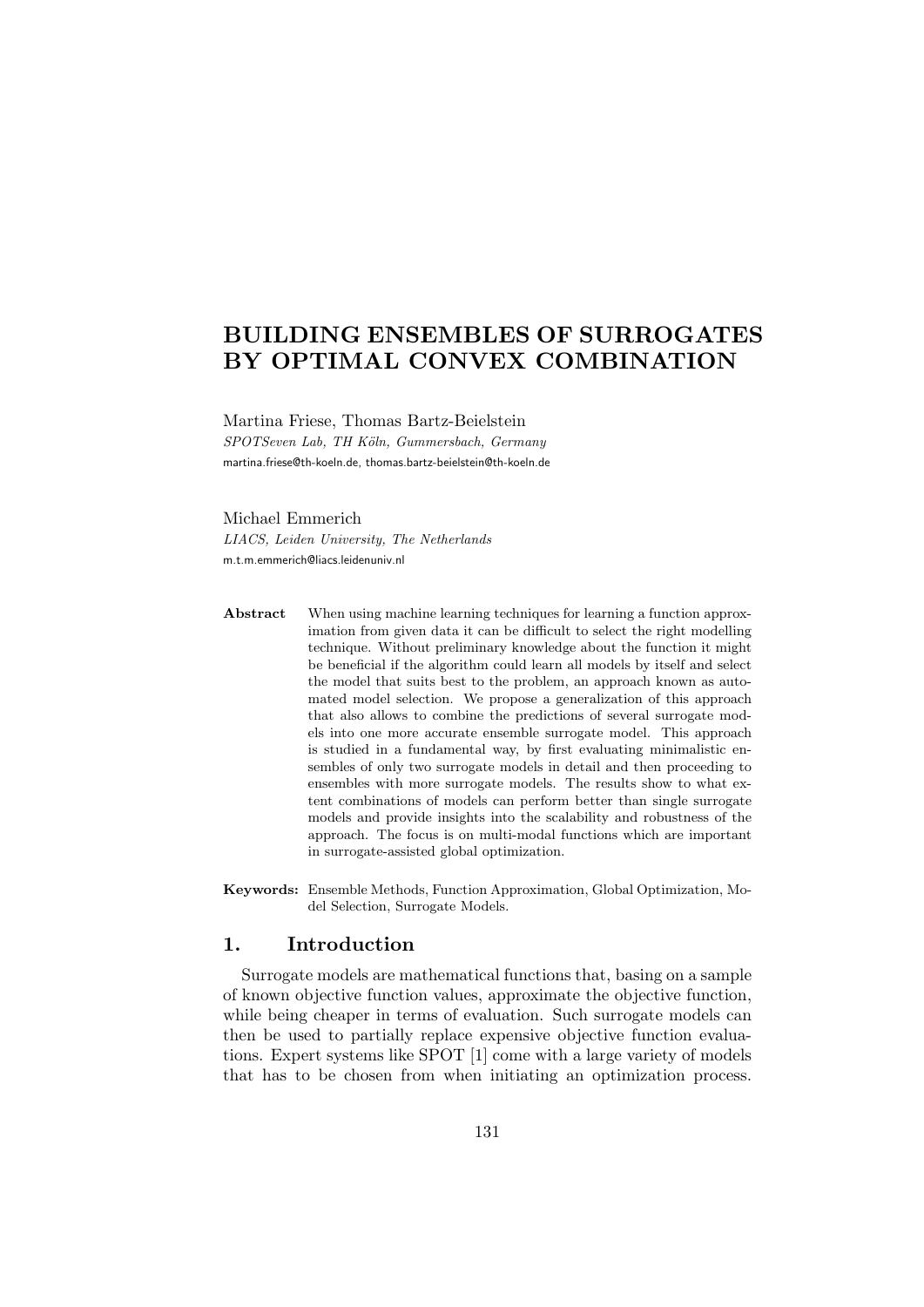# BUILDING ENSEMBLES OF SURROGATES BY OPTIMAL CONVEX COMBINATION

Martina Friese, Thomas Bartz-Beielstein SPOTSeven Lab, TH Köln, Gummersbach, Germany martina.friese@th-koeln.de, thomas.bartz-beielstein@th-koeln.de

#### Michael Emmerich

LIACS, Leiden University, The Netherlands m.t.m.emmerich@liacs.leidenuniv.nl

- Abstract When using machine learning techniques for learning a function approximation from given data it can be difficult to select the right modelling technique. Without preliminary knowledge about the function it might be beneficial if the algorithm could learn all models by itself and select the model that suits best to the problem, an approach known as automated model selection. We propose a generalization of this approach that also allows to combine the predictions of several surrogate models into one more accurate ensemble surrogate model. This approach is studied in a fundamental way, by first evaluating minimalistic ensembles of only two surrogate models in detail and then proceeding to ensembles with more surrogate models. The results show to what extent combinations of models can perform better than single surrogate models and provide insights into the scalability and robustness of the approach. The focus is on multi-modal functions which are important in surrogate-assisted global optimization.
- Keywords: Ensemble Methods, Function Approximation, Global Optimization, Model Selection, Surrogate Models.

## 1. Introduction

Surrogate models are mathematical functions that, basing on a sample of known objective function values, approximate the objective function, while being cheaper in terms of evaluation. Such surrogate models can then be used to partially replace expensive objective function evaluations. Expert systems like SPOT [1] come with a large variety of models that has to be chosen from when initiating an optimization process.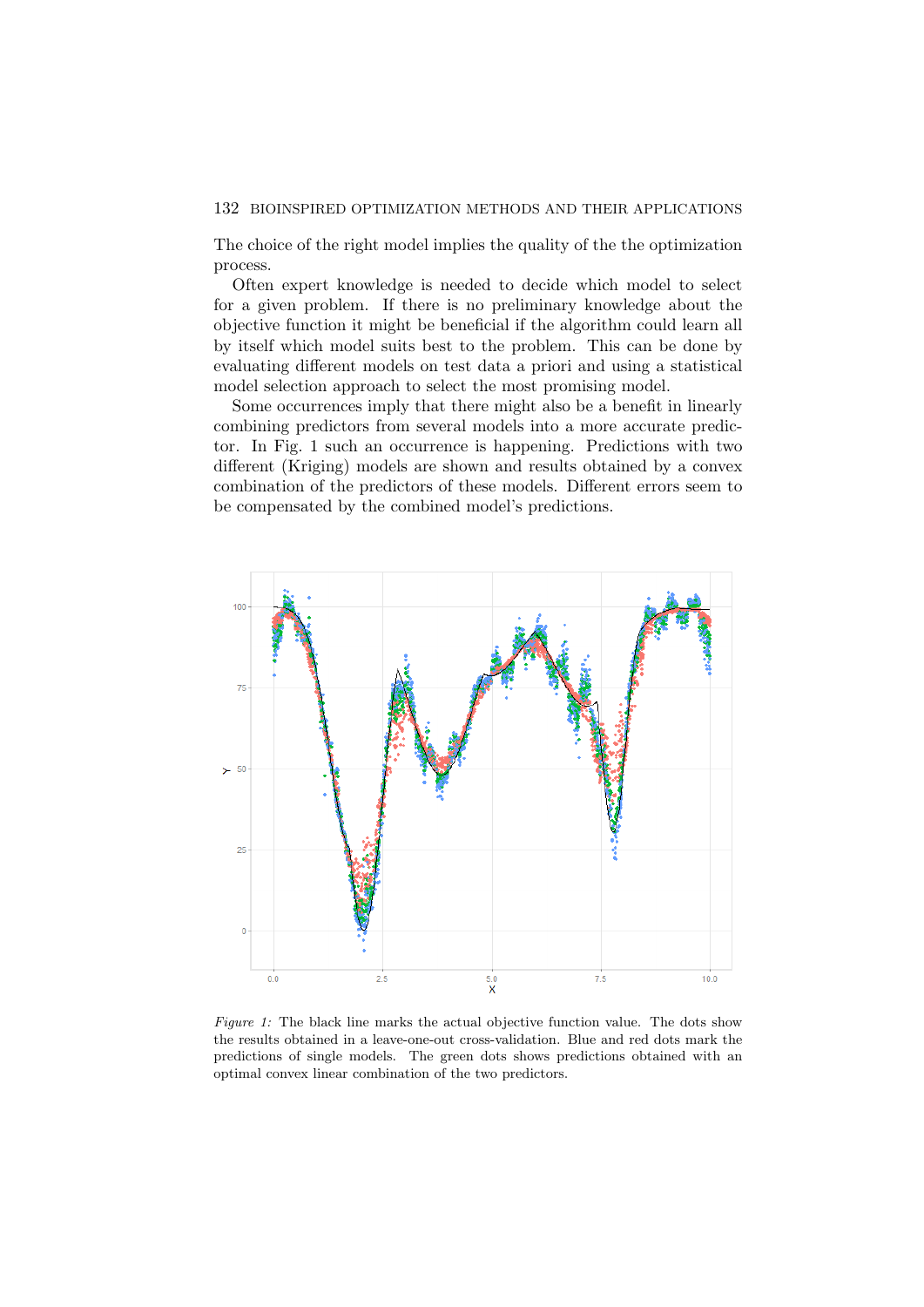The choice of the right model implies the quality of the the optimization process.

Often expert knowledge is needed to decide which model to select for a given problem. If there is no preliminary knowledge about the objective function it might be beneficial if the algorithm could learn all by itself which model suits best to the problem. This can be done by evaluating different models on test data a priori and using a statistical model selection approach to select the most promising model.

Some occurrences imply that there might also be a benefit in linearly combining predictors from several models into a more accurate predictor. In Fig. 1 such an occurrence is happening. Predictions with two different (Kriging) models are shown and results obtained by a convex combination of the predictors of these models. Different errors seem to be compensated by the combined model's predictions.



Figure 1: The black line marks the actual objective function value. The dots show the results obtained in a leave-one-out cross-validation. Blue and red dots mark the predictions of single models. The green dots shows predictions obtained with an optimal convex linear combination of the two predictors.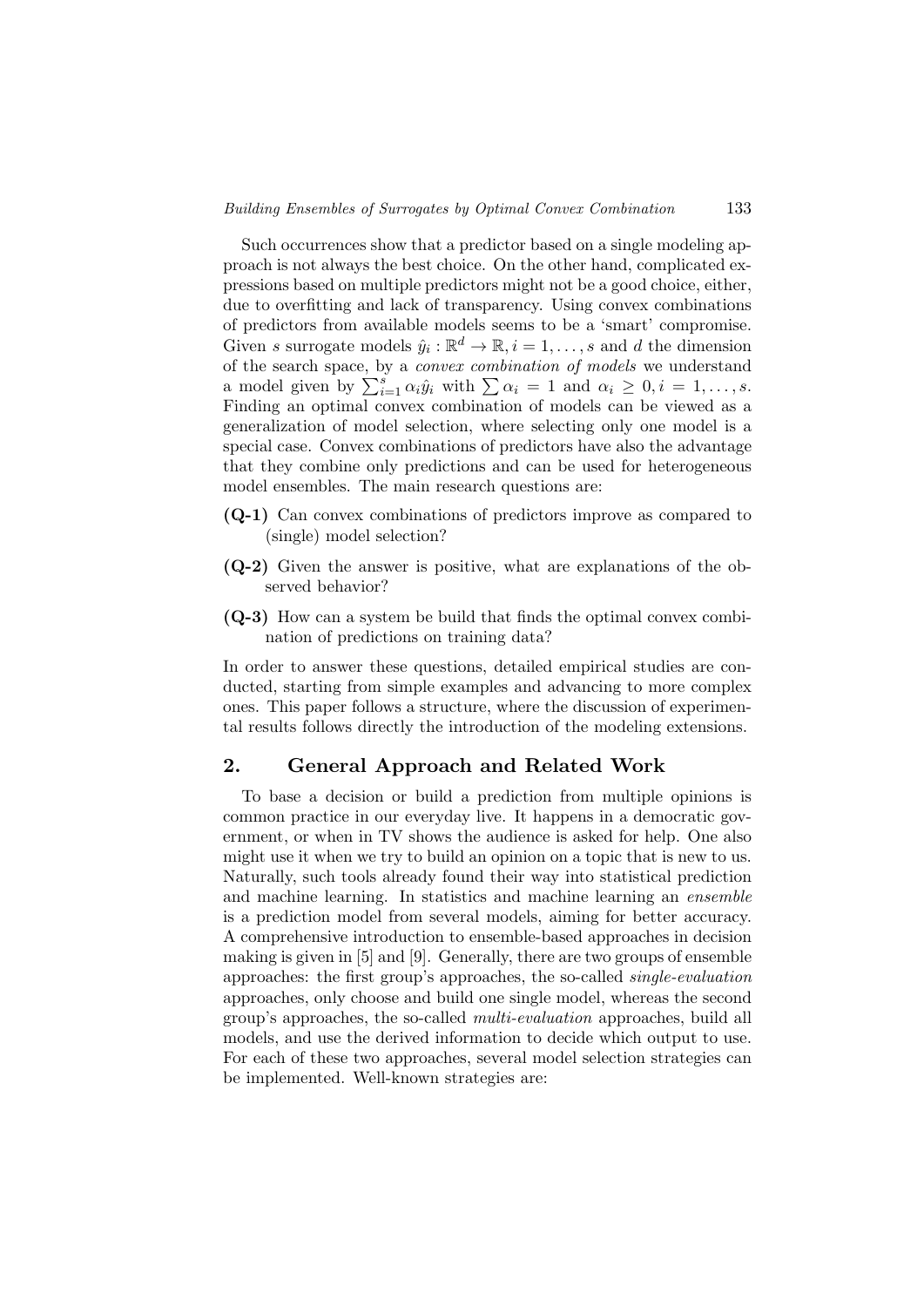Such occurrences show that a predictor based on a single modeling approach is not always the best choice. On the other hand, complicated expressions based on multiple predictors might not be a good choice, either, due to overfitting and lack of transparency. Using convex combinations of predictors from available models seems to be a 'smart' compromise. Given s surrogate models  $\hat{y}_i : \mathbb{R}^d \to \mathbb{R}, i = 1, \ldots, s$  and d the dimension of the search space, by a *convex combination of models* we understand a model given by  $\sum_{i=1}^{s} \alpha_i \hat{y}_i$  with  $\sum \alpha_i = 1$  and  $\alpha_i \geq 0, i = 1, \ldots, s$ . Finding an optimal convex combination of models can be viewed as a generalization of model selection, where selecting only one model is a special case. Convex combinations of predictors have also the advantage that they combine only predictions and can be used for heterogeneous model ensembles. The main research questions are:

- (Q-1) Can convex combinations of predictors improve as compared to (single) model selection?
- (Q-2) Given the answer is positive, what are explanations of the observed behavior?
- (Q-3) How can a system be build that finds the optimal convex combination of predictions on training data?

In order to answer these questions, detailed empirical studies are conducted, starting from simple examples and advancing to more complex ones. This paper follows a structure, where the discussion of experimental results follows directly the introduction of the modeling extensions.

## 2. General Approach and Related Work

To base a decision or build a prediction from multiple opinions is common practice in our everyday live. It happens in a democratic government, or when in TV shows the audience is asked for help. One also might use it when we try to build an opinion on a topic that is new to us. Naturally, such tools already found their way into statistical prediction and machine learning. In statistics and machine learning an ensemble is a prediction model from several models, aiming for better accuracy. A comprehensive introduction to ensemble-based approaches in decision making is given in [5] and [9]. Generally, there are two groups of ensemble approaches: the first group's approaches, the so-called single-evaluation approaches, only choose and build one single model, whereas the second group's approaches, the so-called multi-evaluation approaches, build all models, and use the derived information to decide which output to use. For each of these two approaches, several model selection strategies can be implemented. Well-known strategies are: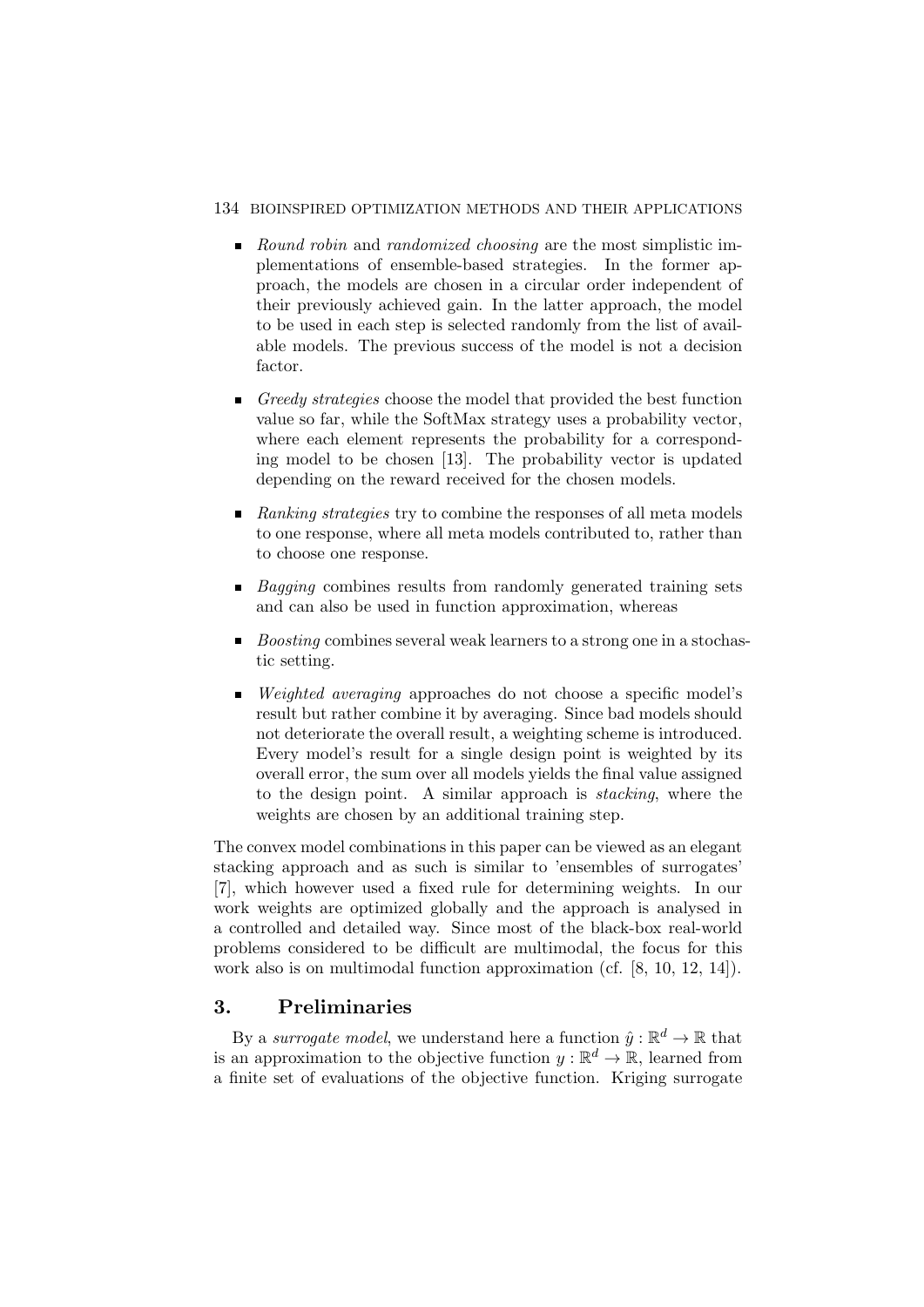### 134 BIOINSPIRED OPTIMIZATION METHODS AND THEIR APPLICATIONS

- Round robin and randomized choosing are the most simplistic implementations of ensemble-based strategies. In the former approach, the models are chosen in a circular order independent of their previously achieved gain. In the latter approach, the model to be used in each step is selected randomly from the list of available models. The previous success of the model is not a decision factor.
- Greedy strategies choose the model that provided the best function value so far, while the SoftMax strategy uses a probability vector, where each element represents the probability for a corresponding model to be chosen [13]. The probability vector is updated depending on the reward received for the chosen models.
- Ranking strategies try to combine the responses of all meta models to one response, where all meta models contributed to, rather than to choose one response.
- $\blacksquare$  Bagging combines results from randomly generated training sets and can also be used in function approximation, whereas
- $\blacksquare$  Boosting combines several weak learners to a strong one in a stochastic setting.
- *Weighted averaging* approaches do not choose a specific model's result but rather combine it by averaging. Since bad models should not deteriorate the overall result, a weighting scheme is introduced. Every model's result for a single design point is weighted by its overall error, the sum over all models yields the final value assigned to the design point. A similar approach is stacking, where the weights are chosen by an additional training step.

The convex model combinations in this paper can be viewed as an elegant stacking approach and as such is similar to 'ensembles of surrogates' [7], which however used a fixed rule for determining weights. In our work weights are optimized globally and the approach is analysed in a controlled and detailed way. Since most of the black-box real-world problems considered to be difficult are multimodal, the focus for this work also is on multimodal function approximation (cf. [8, 10, 12, 14]).

# 3. Preliminaries

By a surrogate model, we understand here a function  $\hat{y} : \mathbb{R}^d \to \mathbb{R}$  that is an approximation to the objective function  $y : \mathbb{R}^d \to \mathbb{R}$ , learned from a finite set of evaluations of the objective function. Kriging surrogate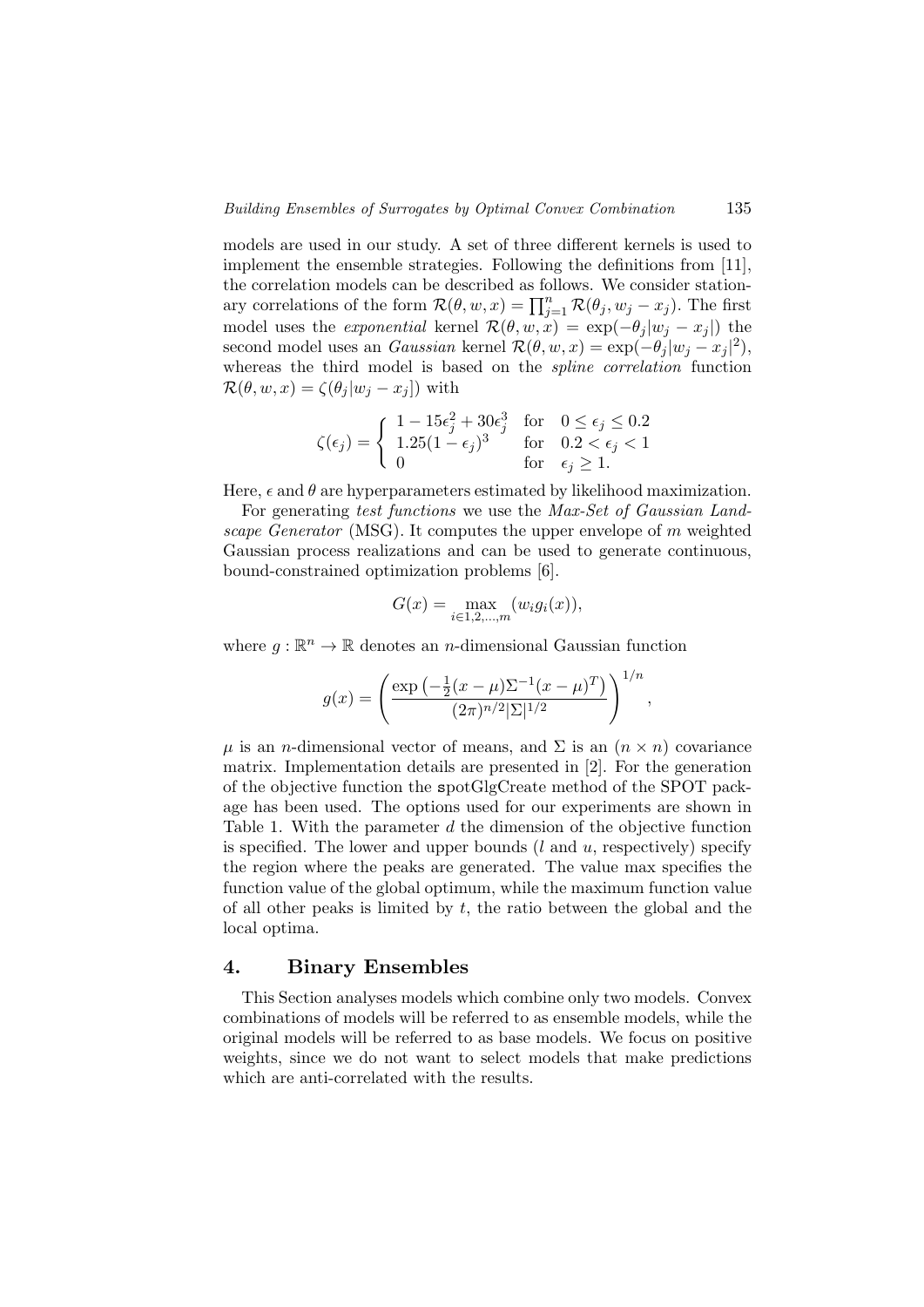models are used in our study. A set of three different kernels is used to implement the ensemble strategies. Following the definitions from [11], the correlation models can be described as follows. We consider stationary correlations of the form  $\mathcal{R}(\theta, w, x) = \prod_{j=1}^n \mathcal{R}(\theta_j, w_j - x_j)$ . The first model uses the *exponential* kernel  $\mathcal{R}(\theta, w, x) = \exp(-\theta_j |w_j - x_j|)$  the second model uses an *Gaussian* kernel  $\mathcal{R}(\theta, w, x) = \exp(-\theta_j |w_j - x_j|^2),$ whereas the third model is based on the spline correlation function  $\mathcal{R}(\theta, w, x) = \zeta(\theta_i | w_i - x_i])$  with

$$
\zeta(\epsilon_j) = \begin{cases}\n1 - 15\epsilon_j^2 + 30\epsilon_j^3 & \text{for} \quad 0 \le \epsilon_j \le 0.2 \\
1.25(1 - \epsilon_j)^3 & \text{for} \quad 0.2 < \epsilon_j < 1 \\
0 & \text{for} \quad \epsilon_j \ge 1.\n\end{cases}
$$

Here,  $\epsilon$  and  $\theta$  are hyperparameters estimated by likelihood maximization.

For generating test functions we use the Max-Set of Gaussian Landscape Generator (MSG). It computes the upper envelope of m weighted Gaussian process realizations and can be used to generate continuous, bound-constrained optimization problems [6].

$$
G(x) = \max_{i \in 1, 2, \dots, m} (w_i g_i(x)),
$$

where  $g: \mathbb{R}^n \to \mathbb{R}$  denotes an *n*-dimensional Gaussian function

$$
g(x) = \left(\frac{\exp\left(-\frac{1}{2}(x-\mu)\Sigma^{-1}(x-\mu)^{T}\right)}{(2\pi)^{n/2}|\Sigma|^{1/2}}\right)^{1/n}
$$

,

 $\mu$  is an *n*-dimensional vector of means, and  $\Sigma$  is an  $(n \times n)$  covariance matrix. Implementation details are presented in [2]. For the generation of the objective function the spotGlgCreate method of the SPOT package has been used. The options used for our experiments are shown in Table 1. With the parameter d the dimension of the objective function is specified. The lower and upper bounds  $(l \text{ and } u, \text{ respectively})$  specify the region where the peaks are generated. The value max specifies the function value of the global optimum, while the maximum function value of all other peaks is limited by  $t$ , the ratio between the global and the local optima.

# 4. Binary Ensembles

This Section analyses models which combine only two models. Convex combinations of models will be referred to as ensemble models, while the original models will be referred to as base models. We focus on positive weights, since we do not want to select models that make predictions which are anti-correlated with the results.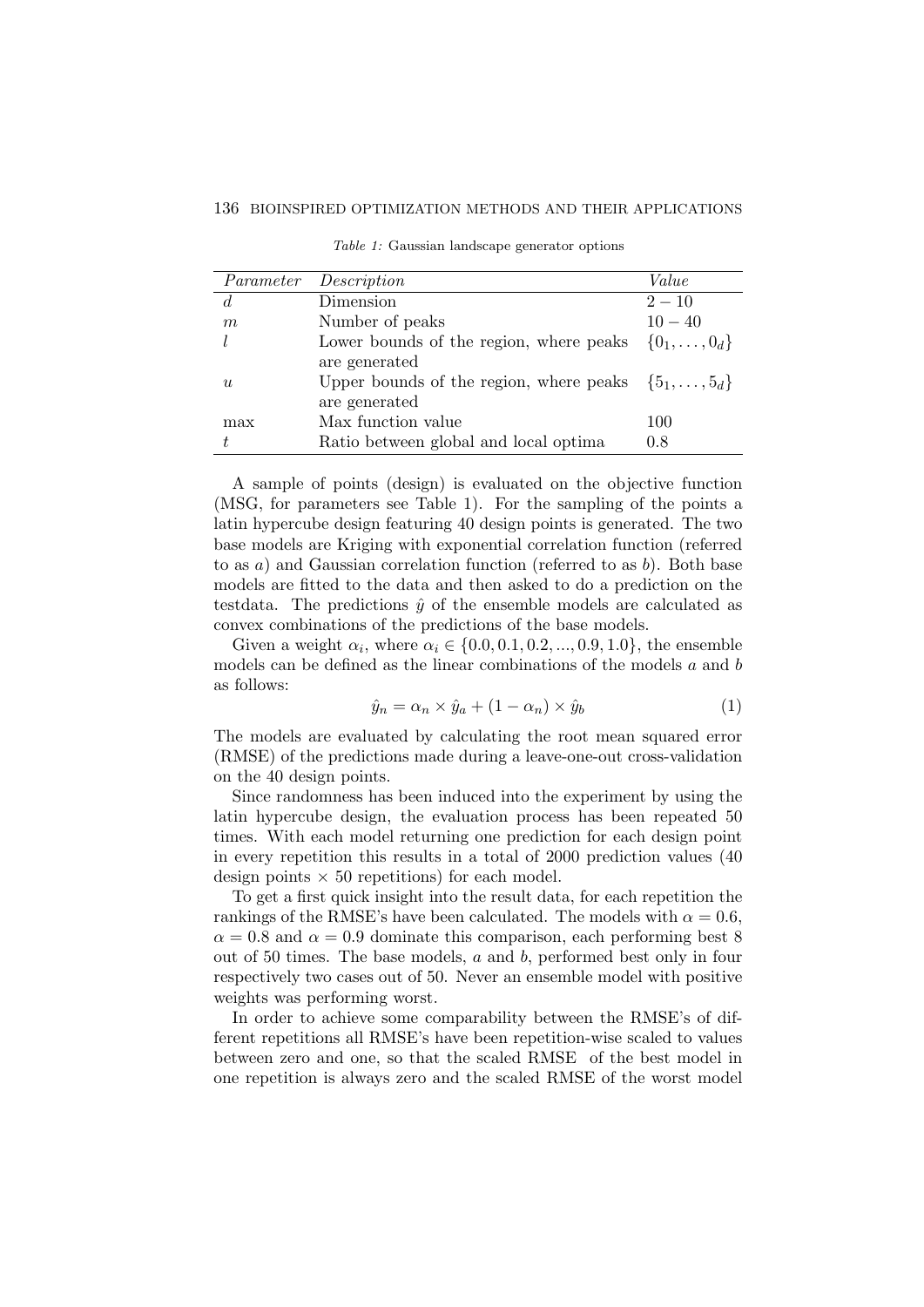| Parameter   | Description                                                    | Value                |
|-------------|----------------------------------------------------------------|----------------------|
| $d_{\cdot}$ | Dimension                                                      | $2 - 10$             |
| m           | Number of peaks                                                | $10 - 40$            |
|             | Lower bounds of the region, where peaks                        | $\{0_1,\ldots,0_d\}$ |
|             | are generated                                                  |                      |
| $\eta_L$    | Upper bounds of the region, where peaks $\{5_1, \ldots, 5_d\}$ |                      |
|             | are generated                                                  |                      |
| max         | Max function value                                             | 100                  |
|             | Ratio between global and local optima                          | 0.8                  |

Table 1: Gaussian landscape generator options

A sample of points (design) is evaluated on the objective function (MSG, for parameters see Table 1). For the sampling of the points a latin hypercube design featuring 40 design points is generated. The two base models are Kriging with exponential correlation function (referred to as  $a$ ) and Gaussian correlation function (referred to as  $b$ ). Both base models are fitted to the data and then asked to do a prediction on the testdata. The predictions  $\hat{v}$  of the ensemble models are calculated as convex combinations of the predictions of the base models.

Given a weight  $\alpha_i$ , where  $\alpha_i \in \{0.0, 0.1, 0.2, ..., 0.9, 1.0\}$ , the ensemble models can be defined as the linear combinations of the models a and b as follows:

$$
\hat{y}_n = \alpha_n \times \hat{y}_a + (1 - \alpha_n) \times \hat{y}_b \tag{1}
$$

The models are evaluated by calculating the root mean squared error (RMSE) of the predictions made during a leave-one-out cross-validation on the 40 design points.

Since randomness has been induced into the experiment by using the latin hypercube design, the evaluation process has been repeated 50 times. With each model returning one prediction for each design point in every repetition this results in a total of 2000 prediction values (40 design points  $\times$  50 repetitions) for each model.

To get a first quick insight into the result data, for each repetition the rankings of the RMSE's have been calculated. The models with  $\alpha = 0.6$ ,  $\alpha = 0.8$  and  $\alpha = 0.9$  dominate this comparison, each performing best 8 out of 50 times. The base models, a and b, performed best only in four respectively two cases out of 50. Never an ensemble model with positive weights was performing worst.

In order to achieve some comparability between the RMSE's of different repetitions all RMSE's have been repetition-wise scaled to values between zero and one, so that the scaled RMSE of the best model in one repetition is always zero and the scaled RMSE of the worst model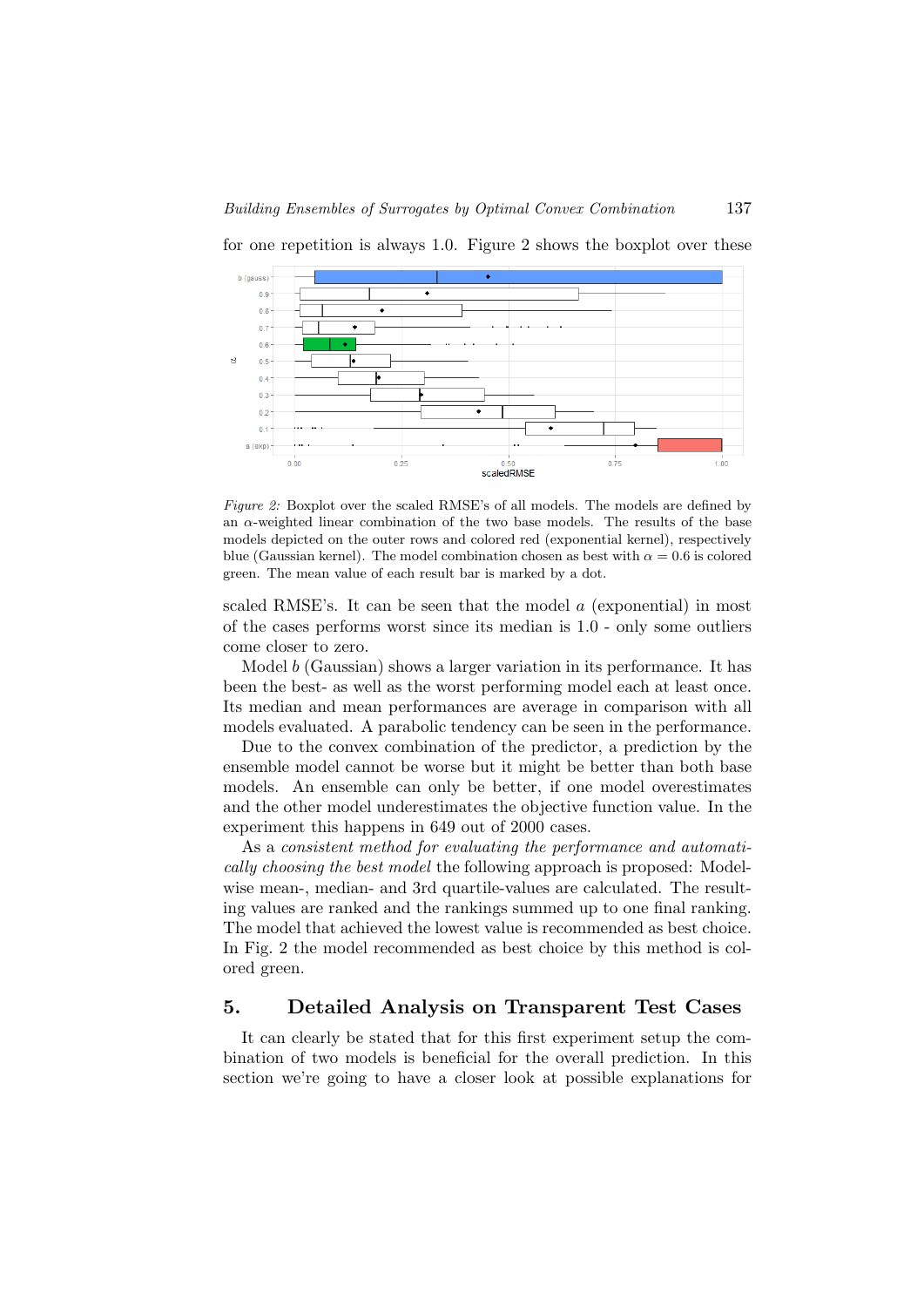

for one repetition is always 1.0. Figure 2 shows the boxplot over these

Figure 2: Boxplot over the scaled RMSE's of all models. The models are defined by an  $\alpha$ -weighted linear combination of the two base models. The results of the base models depicted on the outer rows and colored red (exponential kernel), respectively blue (Gaussian kernel). The model combination chosen as best with  $\alpha = 0.6$  is colored green. The mean value of each result bar is marked by a dot.

scaled RMSE's. It can be seen that the model a (exponential) in most of the cases performs worst since its median is 1.0 - only some outliers come closer to zero.

Model b (Gaussian) shows a larger variation in its performance. It has been the best- as well as the worst performing model each at least once. Its median and mean performances are average in comparison with all models evaluated. A parabolic tendency can be seen in the performance.

Due to the convex combination of the predictor, a prediction by the ensemble model cannot be worse but it might be better than both base models. An ensemble can only be better, if one model overestimates and the other model underestimates the objective function value. In the experiment this happens in 649 out of 2000 cases.

As a consistent method for evaluating the performance and automatically choosing the best model the following approach is proposed: Modelwise mean-, median- and 3rd quartile-values are calculated. The resulting values are ranked and the rankings summed up to one final ranking. The model that achieved the lowest value is recommended as best choice. In Fig. 2 the model recommended as best choice by this method is colored green.

## 5. Detailed Analysis on Transparent Test Cases

It can clearly be stated that for this first experiment setup the combination of two models is beneficial for the overall prediction. In this section we're going to have a closer look at possible explanations for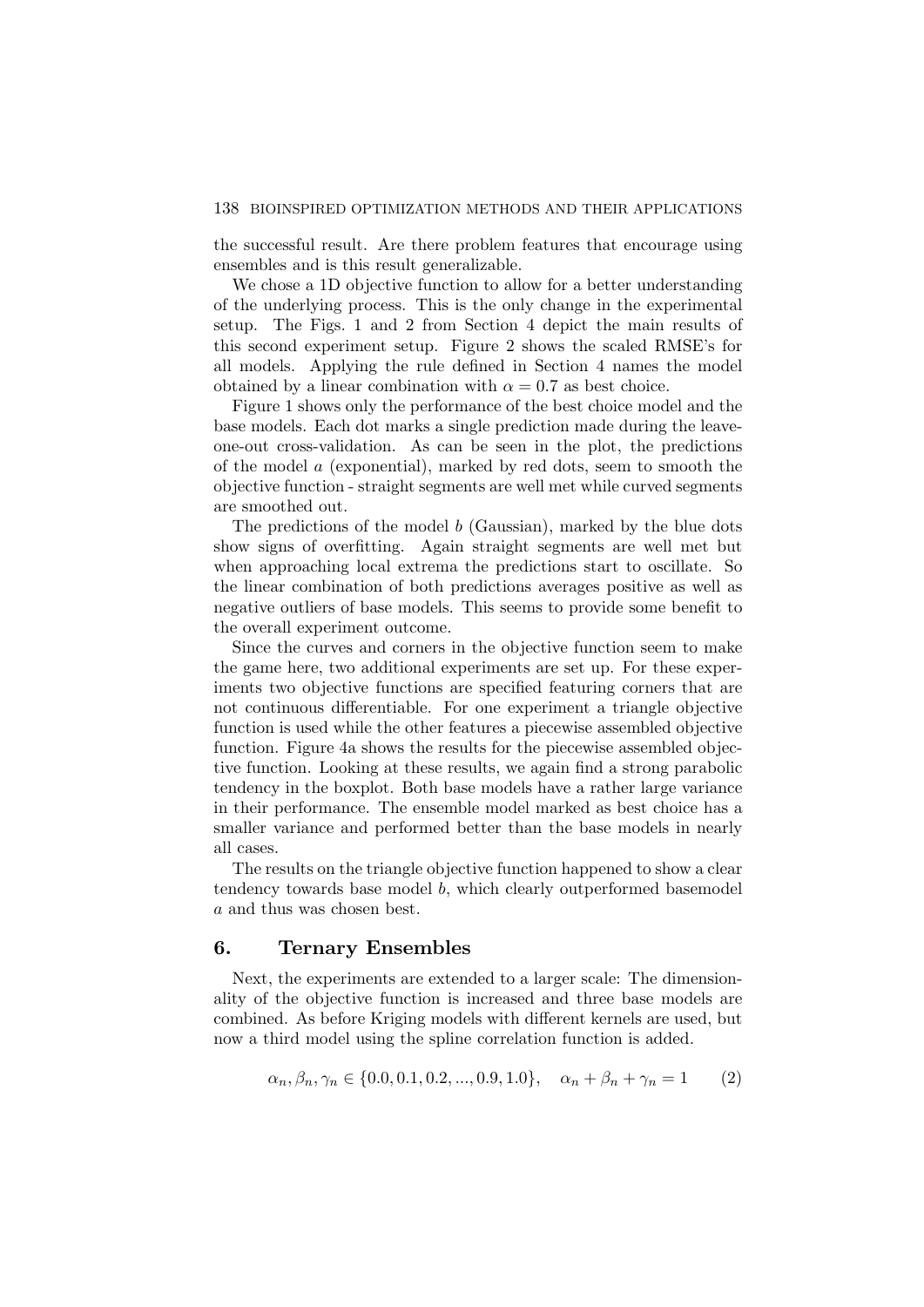the successful result. Are there problem features that encourage using ensembles and is this result generalizable.

We chose a 1D objective function to allow for a better understanding of the underlying process. This is the only change in the experimental setup. The Figs. 1 and 2 from Section 4 depict the main results of this second experiment setup. Figure 2 shows the scaled RMSE's for all models. Applying the rule defined in Section 4 names the model obtained by a linear combination with  $\alpha = 0.7$  as best choice.

Figure 1 shows only the performance of the best choice model and the base models. Each dot marks a single prediction made during the leaveone-out cross-validation. As can be seen in the plot, the predictions of the model a (exponential), marked by red dots, seem to smooth the objective function - straight segments are well met while curved segments are smoothed out.

The predictions of the model  $b$  (Gaussian), marked by the blue dots show signs of overfitting. Again straight segments are well met but when approaching local extrema the predictions start to oscillate. So the linear combination of both predictions averages positive as well as negative outliers of base models. This seems to provide some benefit to the overall experiment outcome.

Since the curves and corners in the objective function seem to make the game here, two additional experiments are set up. For these experiments two objective functions are specified featuring corners that are not continuous differentiable. For one experiment a triangle objective function is used while the other features a piecewise assembled objective function. Figure 4a shows the results for the piecewise assembled objective function. Looking at these results, we again find a strong parabolic tendency in the boxplot. Both base models have a rather large variance in their performance. The ensemble model marked as best choice has a smaller variance and performed better than the base models in nearly all cases.

The results on the triangle objective function happened to show a clear tendency towards base model b, which clearly outperformed basemodel a and thus was chosen best.

## 6. Ternary Ensembles

Next, the experiments are extended to a larger scale: The dimensionality of the objective function is increased and three base models are combined. As before Kriging models with different kernels are used, but now a third model using the spline correlation function is added.

$$
\alpha_n, \beta_n, \gamma_n \in \{0.0, 0.1, 0.2, ..., 0.9, 1.0\}, \quad \alpha_n + \beta_n + \gamma_n = 1 \tag{2}
$$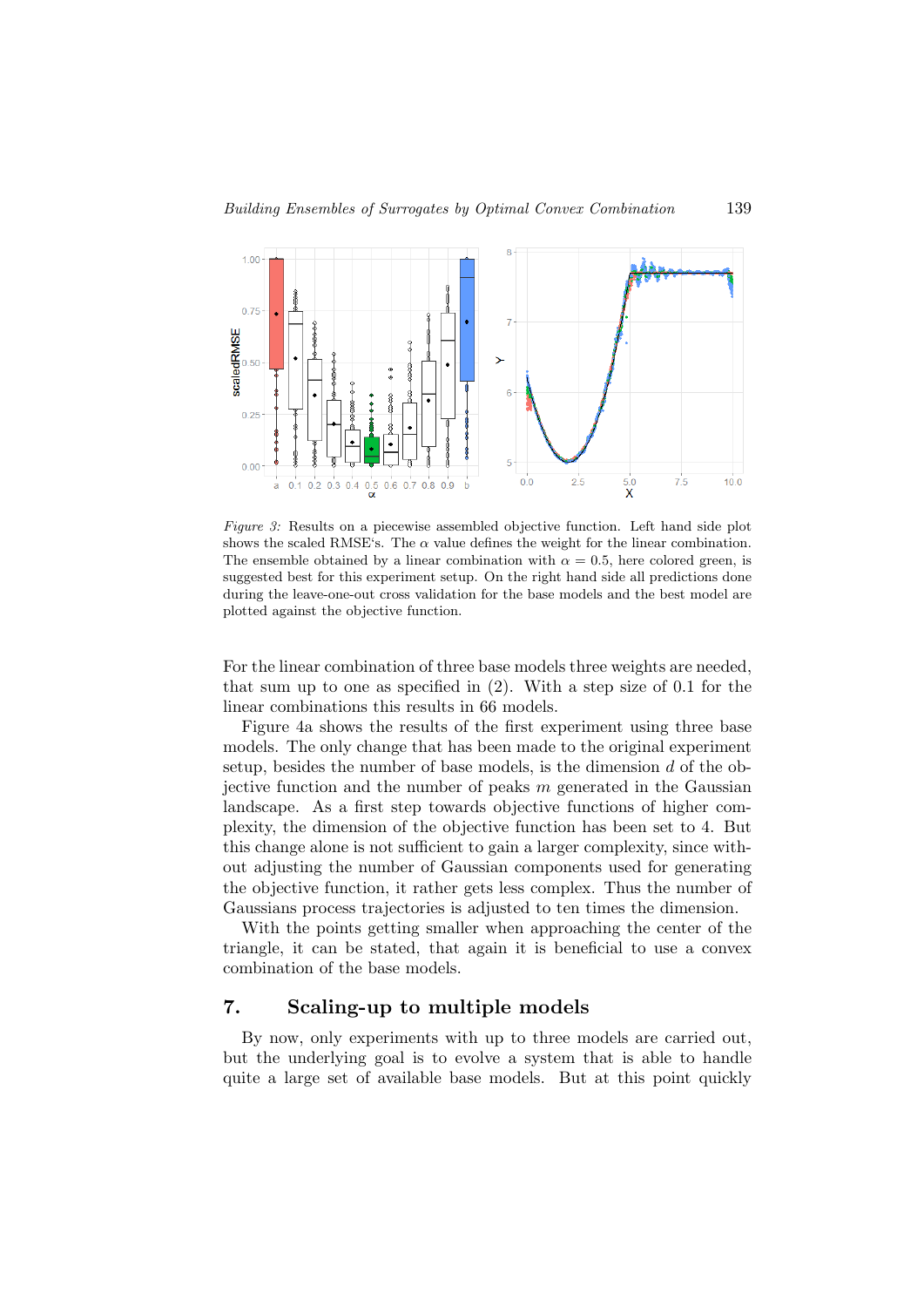

Figure 3: Results on a piecewise assembled objective function. Left hand side plot shows the scaled RMSE's. The  $\alpha$  value defines the weight for the linear combination. The ensemble obtained by a linear combination with  $\alpha = 0.5$ , here colored green, is suggested best for this experiment setup. On the right hand side all predictions done during the leave-one-out cross validation for the base models and the best model are plotted against the objective function.

For the linear combination of three base models three weights are needed, that sum up to one as specified in (2). With a step size of 0.1 for the linear combinations this results in 66 models.

Figure 4a shows the results of the first experiment using three base models. The only change that has been made to the original experiment setup, besides the number of base models, is the dimension  $d$  of the objective function and the number of peaks  $m$  generated in the Gaussian landscape. As a first step towards objective functions of higher complexity, the dimension of the objective function has been set to 4. But this change alone is not sufficient to gain a larger complexity, since without adjusting the number of Gaussian components used for generating the objective function, it rather gets less complex. Thus the number of Gaussians process trajectories is adjusted to ten times the dimension.

With the points getting smaller when approaching the center of the triangle, it can be stated, that again it is beneficial to use a convex combination of the base models.

# 7. Scaling-up to multiple models

By now, only experiments with up to three models are carried out, but the underlying goal is to evolve a system that is able to handle quite a large set of available base models. But at this point quickly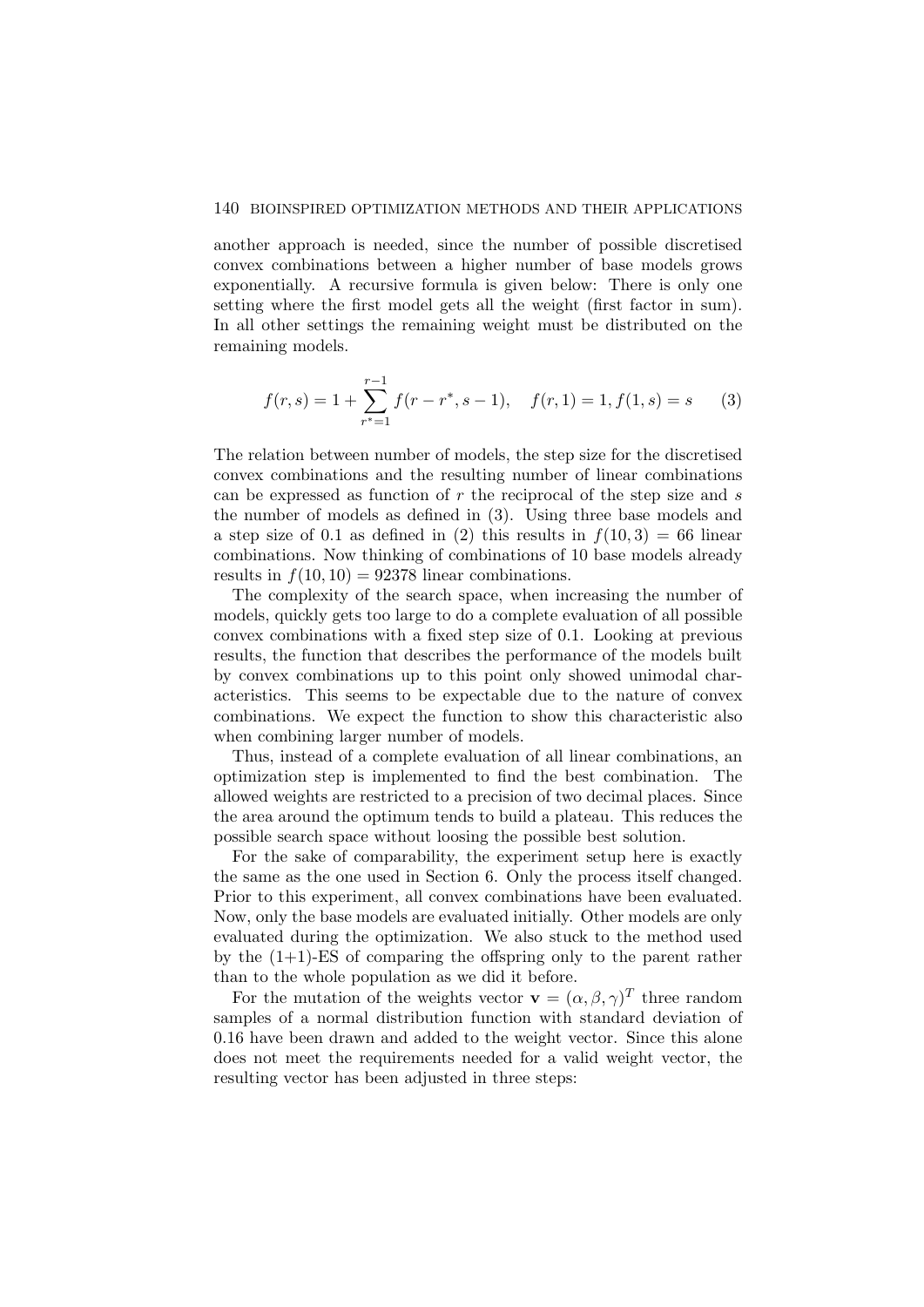#### 140 BIOINSPIRED OPTIMIZATION METHODS AND THEIR APPLICATIONS

another approach is needed, since the number of possible discretised convex combinations between a higher number of base models grows exponentially. A recursive formula is given below: There is only one setting where the first model gets all the weight (first factor in sum). In all other settings the remaining weight must be distributed on the remaining models.

$$
f(r,s) = 1 + \sum_{r^* = 1}^{r-1} f(r - r^*, s - 1), \quad f(r,1) = 1, f(1,s) = s \tag{3}
$$

The relation between number of models, the step size for the discretised convex combinations and the resulting number of linear combinations can be expressed as function of  $r$  the reciprocal of the step size and  $s$ the number of models as defined in (3). Using three base models and a step size of 0.1 as defined in (2) this results in  $f(10, 3) = 66$  linear combinations. Now thinking of combinations of 10 base models already results in  $f(10, 10) = 92378$  linear combinations.

The complexity of the search space, when increasing the number of models, quickly gets too large to do a complete evaluation of all possible convex combinations with a fixed step size of 0.1. Looking at previous results, the function that describes the performance of the models built by convex combinations up to this point only showed unimodal characteristics. This seems to be expectable due to the nature of convex combinations. We expect the function to show this characteristic also when combining larger number of models.

Thus, instead of a complete evaluation of all linear combinations, an optimization step is implemented to find the best combination. The allowed weights are restricted to a precision of two decimal places. Since the area around the optimum tends to build a plateau. This reduces the possible search space without loosing the possible best solution.

For the sake of comparability, the experiment setup here is exactly the same as the one used in Section 6. Only the process itself changed. Prior to this experiment, all convex combinations have been evaluated. Now, only the base models are evaluated initially. Other models are only evaluated during the optimization. We also stuck to the method used by the  $(1+1)$ -ES of comparing the offspring only to the parent rather than to the whole population as we did it before.

For the mutation of the weights vector  $\mathbf{v} = (\alpha, \beta, \gamma)^T$  three random samples of a normal distribution function with standard deviation of 0.16 have been drawn and added to the weight vector. Since this alone does not meet the requirements needed for a valid weight vector, the resulting vector has been adjusted in three steps: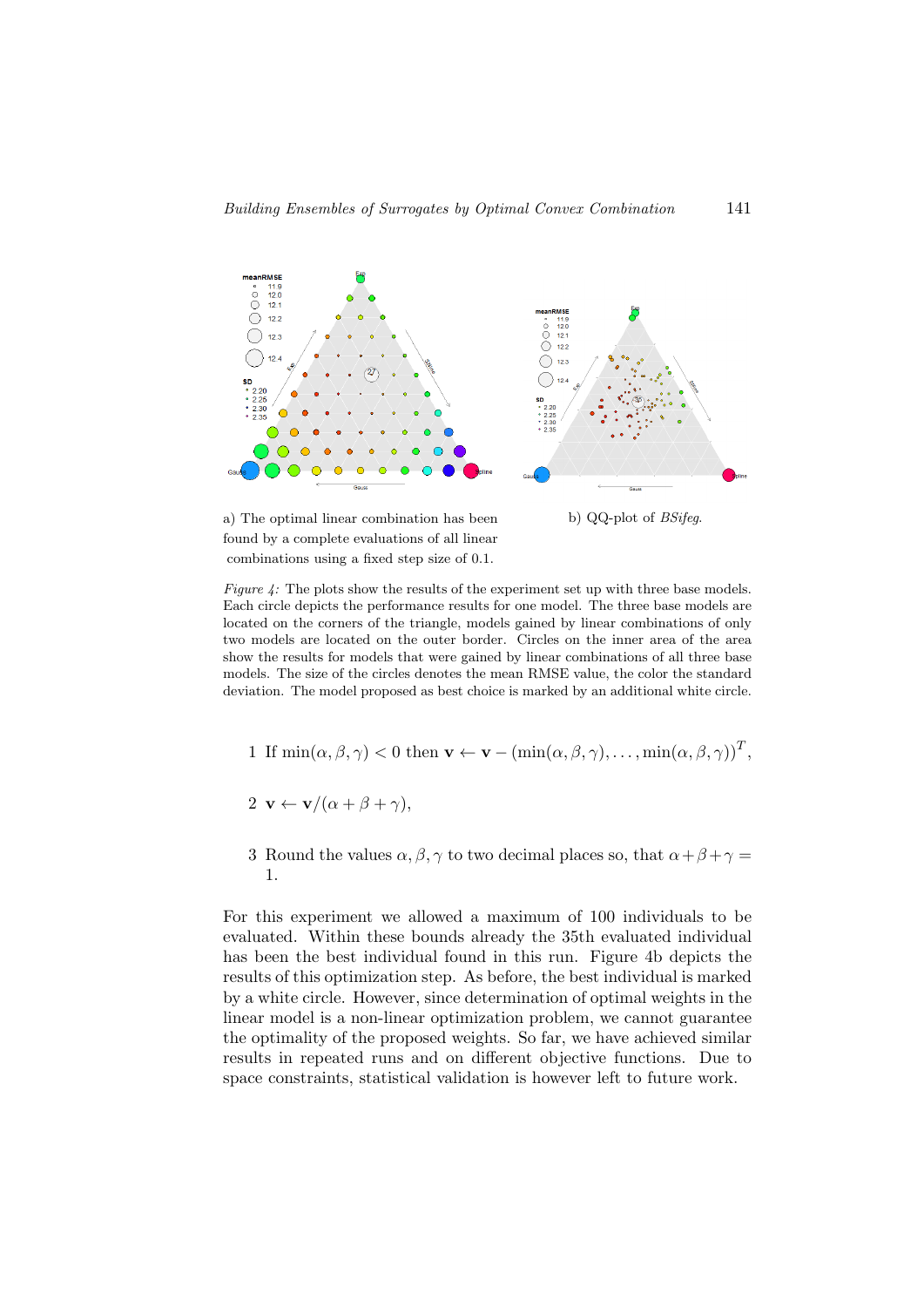

a) The optimal linear combination has been found by a complete evaluations of all linear combinations using a fixed step size of 0.1.

b) QQ-plot of BSifeg.

Figure 4: The plots show the results of the experiment set up with three base models. Each circle depicts the performance results for one model. The three base models are located on the corners of the triangle, models gained by linear combinations of only two models are located on the outer border. Circles on the inner area of the area show the results for models that were gained by linear combinations of all three base models. The size of the circles denotes the mean RMSE value, the color the standard deviation. The model proposed as best choice is marked by an additional white circle.

1 If 
$$
\min(\alpha, \beta, \gamma) < 0
$$
 then  $\mathbf{v} \leftarrow \mathbf{v} - (\min(\alpha, \beta, \gamma), \dots, \min(\alpha, \beta, \gamma))^T$ ,

$$
2 \mathbf{v} \leftarrow \mathbf{v}/(\alpha + \beta + \gamma),
$$

3 Round the values  $\alpha, \beta, \gamma$  to two decimal places so, that  $\alpha + \beta + \gamma =$ 1.

For this experiment we allowed a maximum of 100 individuals to be evaluated. Within these bounds already the 35th evaluated individual has been the best individual found in this run. Figure 4b depicts the results of this optimization step. As before, the best individual is marked by a white circle. However, since determination of optimal weights in the linear model is a non-linear optimization problem, we cannot guarantee the optimality of the proposed weights. So far, we have achieved similar results in repeated runs and on different objective functions. Due to space constraints, statistical validation is however left to future work.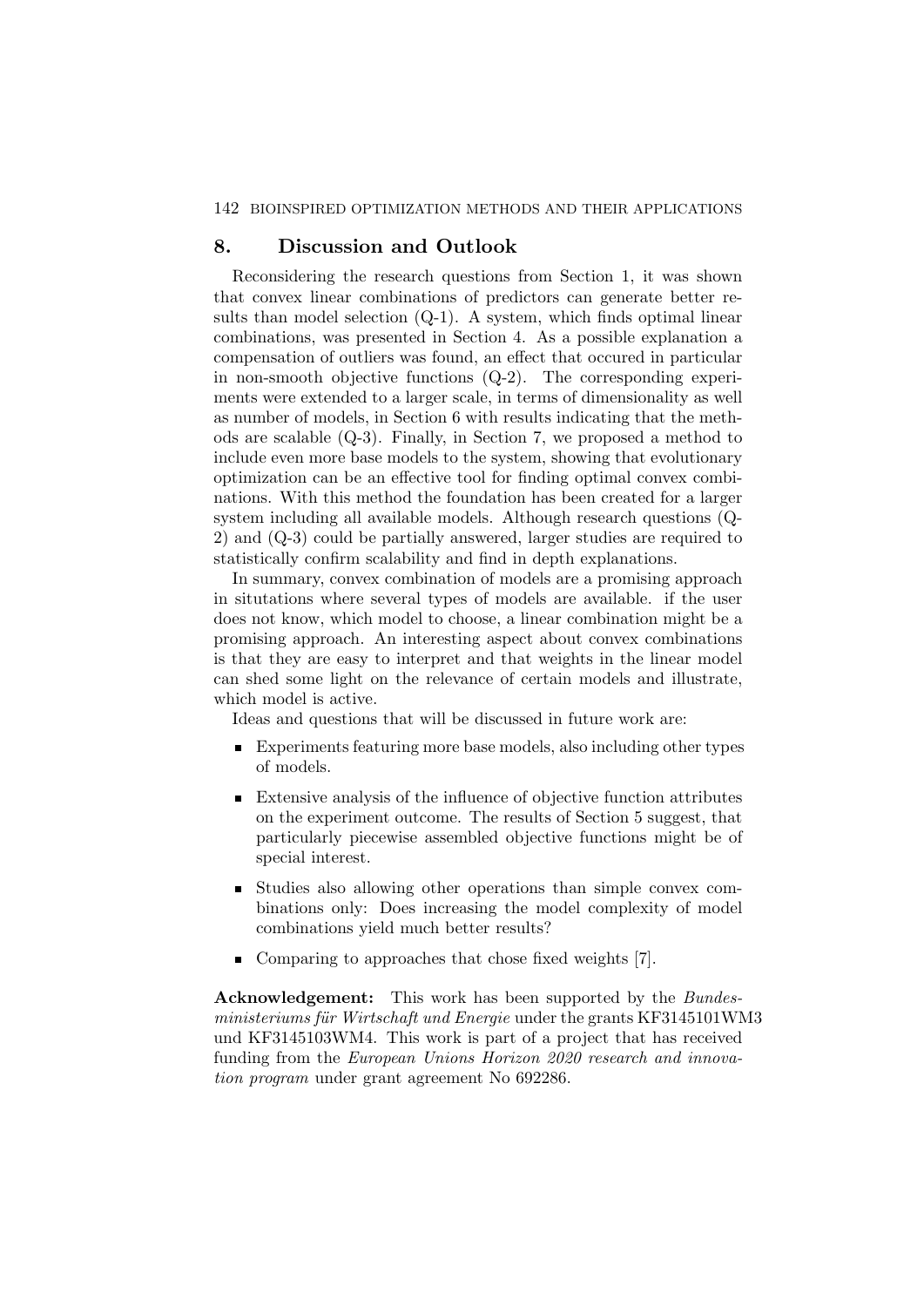#### 142 BIOINSPIRED OPTIMIZATION METHODS AND THEIR APPLICATIONS

## 8. Discussion and Outlook

Reconsidering the research questions from Section 1, it was shown that convex linear combinations of predictors can generate better results than model selection (Q-1). A system, which finds optimal linear combinations, was presented in Section 4. As a possible explanation a compensation of outliers was found, an effect that occured in particular in non-smooth objective functions (Q-2). The corresponding experiments were extended to a larger scale, in terms of dimensionality as well as number of models, in Section 6 with results indicating that the methods are scalable (Q-3). Finally, in Section 7, we proposed a method to include even more base models to the system, showing that evolutionary optimization can be an effective tool for finding optimal convex combinations. With this method the foundation has been created for a larger system including all available models. Although research questions (Q-2) and (Q-3) could be partially answered, larger studies are required to statistically confirm scalability and find in depth explanations.

In summary, convex combination of models are a promising approach in situtations where several types of models are available. if the user does not know, which model to choose, a linear combination might be a promising approach. An interesting aspect about convex combinations is that they are easy to interpret and that weights in the linear model can shed some light on the relevance of certain models and illustrate, which model is active.

Ideas and questions that will be discussed in future work are:

- Experiments featuring more base models, also including other types of models.
- Extensive analysis of the influence of objective function attributes on the experiment outcome. The results of Section 5 suggest, that particularly piecewise assembled objective functions might be of special interest.
- Studies also allowing other operations than simple convex combinations only: Does increasing the model complexity of model combinations yield much better results?
- Comparing to approaches that chose fixed weights [7].

Acknowledgement: This work has been supported by the Bundesministeriums für Wirtschaft und Energie under the grants KF3145101WM3 und KF3145103WM4. This work is part of a project that has received funding from the European Unions Horizon 2020 research and innovation program under grant agreement No 692286.